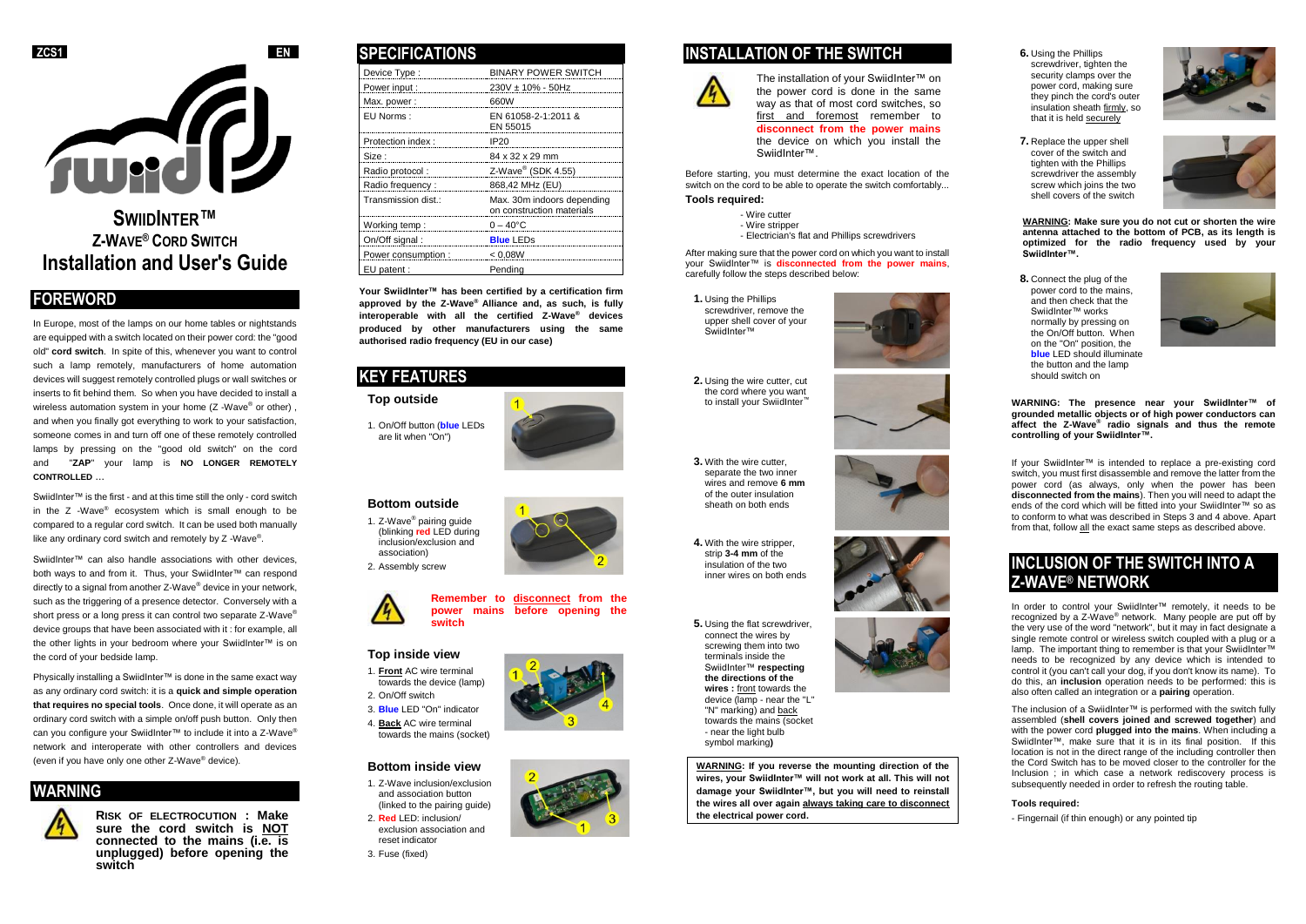

# **SWIIDINTER™ Z-WAVE® CORD SWITCH Installation and User's Guide**

# **FOREWORD**

In Europe, most of the lamps on our home tables or nightstands are equipped with a switch located on their power cord: the "good old" **cord switch**. In spite of this, whenever you want to control such a lamp remotely, manufacturers of home automation devices will suggest remotely controlled plugs or wall switches or inserts to fit behind them. So when you have decided to install a wireless automation system in your home (Z -Wave® or other), and when you finally got everything to work to your satisfaction, someone comes in and turn off one of these remotely controlled lamps by pressing on the "good old switch" on the cord and "**ZAP**" your lamp is **NO LONGER REMOTELY CONTROLLED** ...

SwiidInter™ is the first - and at this time still the only - cord switch in the Z -Wave® ecosystem which is small enough to be compared to a regular cord switch. It can be used both manually like any ordinary cord switch and remotely by Z -Wave®.

SwiidInter™ can also handle associations with other devices, both ways to and from it. Thus, your SwiidInter™ can respond directly to a signal from another Z-Wave® device in your network, such as the triggering of a presence detector. Conversely with a short press or a long press it can control two separate Z-Wave® device groups that have been associated with it : for example, all the other lights in your bedroom where your SwiidInter™ is on the cord of your bedside lamp.

Physically installing a SwiidInter™ is done in the same exact way as any ordinary cord switch: it is a **quick and simple operation that requires no special tools**. Once done, it will operate as an ordinary cord switch with a simple on/off push button. Only then can you configure your SwiidInter™ to include it into a Z-Wave® network and interoperate with other controllers and devices (even if you have only one other Z-Wave® device).

### **WARNING**



**RISK OF ELECTROCUTION : Make sure the cord switch is NOT connected to the mains (i.e. is unplugged) before opening the switch**

### **SPECIFICATIONS**

| Device Type:        | <b>BINARY POWER SWITCH</b>                              |
|---------------------|---------------------------------------------------------|
| Power input:        | $230V \pm 10\% - 50Hz$                                  |
| Max. power:         | 660W                                                    |
| EU Norms:           | EN 61058-2-1:2011 &<br>EN 55015                         |
| Protection index:   | IP <sub>20</sub>                                        |
| Size:               | 84 x 32 x 29 mm                                         |
| Radio protocol:     | Z-Wave <sup>®</sup> (SDK 4.55)                          |
| Radio frequency:    | 868,42 MHz (EU)                                         |
| Transmission dist.: | Max. 30m indoors depending<br>on construction materials |
| Working temp:       | $0 - 40^{\circ}$ C                                      |
| On/Off signal:      | <b>Blue LEDs</b>                                        |
| Power consumption : | < 0.08W                                                 |
| EU patent:          | Pendina                                                 |

**Your SwiidInter™ has been certified by a certification firm approved by the Z-Wave® Alliance and, as such, is fully interoperable with all the certified Z-Wave® devices produced by other manufacturers using the same authorised radio frequency (EU in our case)**

## **KEY FEATURES**

**Top outside**

1. On/Off button (**blue** LEDs are lit when "On")



1. Z-Wave® pairing guide (blinking **red** LED during inclusion/exclusion and association) 2. Assembly screw



#### **Top inside view**

- 1. **Front** AC wire terminal towards the device (lamp)
- 2. On/Off switch 3. **Blue** LED "On" indicator 4. **Back** AC wire terminal
- towards the mains (socket)

### **Bottom inside view**

- 1. Z-Wave inclusion/exclusion and association button (linked to the pairing guide)
- 2. **Red** LED: inclusion/ exclusion association and





The installation of your SwiidInter™ on the power cord is done in the same way as that of most cord switches, so first and foremost remember to **disconnect from the power mains** the device on which you install the SwiidInter™.

Before starting, you must determine the exact location of the switch on the cord to be able to operate the switch comfortably...

#### **Tools required:**

- Wire cutter
- Wire stripper - Electrician's flat and Phillips screwdrivers

After making sure that the power cord on which you want to install your SwiidInter™ is **disconnected from the power mains**, carefully follow the steps described below:

**1.** Using the Phillips screwdriver, remove the upper shell cover of your SwiidInter™

**2.** Using the wire cutter, cut the cord where you want to install your SwiidInter

**3.** With the wire cutter, separate the two inner wires and remove **6 mm** of the outer insulation sheath on both ends

**4.** With the wire stripper, strip **3-4 mm** of the insulation of the two inner wires on both ends

#### **5.** Using the flat screwdriver,

connect the wires by screwing them into two terminals inside the SwiidInter™ **respecting the directions of the wires :** front towards the device (lamp - near the "L" "N" marking) and back towards the mains (socket - near the light bulb symbol marking**)**

**WARNING: If you reverse the mounting direction of the wires, your SwiidInter™ will not work at all. This will not damage your SwiidInter™, but you will need to reinstall the wires all over again always taking care to disconnect the electrical power cord.**







**WARNING: Make sure you do not cut or shorten the wire antenna attached to the bottom of PCB, as its length is optimized for the radio frequency used by your SwiidInter™.**





**WARNING: The presence near your SwiidInter™ of grounded metallic objects or of high power conductors can affect the Z-Wave® radio signals and thus the remote controlling of your SwiidInter™.**

If your SwiidInter™ is intended to replace a pre-existing cord switch, you must first disassemble and remove the latter from the power cord (as always, only when the power has been **disconnected from the mains**). Then you will need to adapt the ends of the cord which will be fitted into your SwiidInter™ so as to conform to what was described in Steps 3 and 4 above. Apart from that, follow all the exact same steps as described above.

# **INCLUSION OF THE SWITCH INTO A Z-WAVE® NETWORK**

In order to control your SwiidInter™ remotely, it needs to be recognized by a Z-Wave<sup>®</sup> network. Many people are put off by the very use of the word "network", but it may in fact designate a single remote control or wireless switch coupled with a plug or a lamp. The important thing to remember is that your SwiidInter™ needs to be recognized by any device which is intended to control it (you can't call your dog, if you don't know its name). To do this, an **inclusion** operation needs to be performed: this is also often called an integration or a **pairing** operation.

The inclusion of a SwiidInter™ is performed with the switch fully assembled (**shell covers joined and screwed together**) and with the power cord **plugged into the mains**. When including a SwiidInter™, make sure that it is in its final position. If this location is not in the direct range of the including controller then the Cord Switch has to be moved closer to the controller for the Inclusion ; in which case a network rediscovery process is subsequently needed in order to refresh the routing table.

#### **Tools required:**

- Fingernail (if thin enough) or any pointed tip